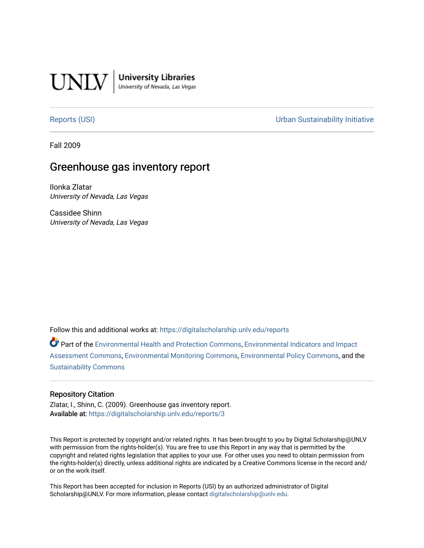

University Libraries<br>University of Nevada, Las Vegas

[Reports \(USI\)](https://digitalscholarship.unlv.edu/reports) [Urban Sustainability Initiative](https://digitalscholarship.unlv.edu/sustainability) 

Fall 2009

# Greenhouse gas inventory report

Ilonka Zlatar University of Nevada, Las Vegas

Cassidee Shinn University of Nevada, Las Vegas

Follow this and additional works at: [https://digitalscholarship.unlv.edu/reports](https://digitalscholarship.unlv.edu/reports?utm_source=digitalscholarship.unlv.edu%2Freports%2F3&utm_medium=PDF&utm_campaign=PDFCoverPages) 

Part of the [Environmental Health and Protection Commons,](http://network.bepress.com/hgg/discipline/172?utm_source=digitalscholarship.unlv.edu%2Freports%2F3&utm_medium=PDF&utm_campaign=PDFCoverPages) [Environmental Indicators and Impact](http://network.bepress.com/hgg/discipline/1015?utm_source=digitalscholarship.unlv.edu%2Freports%2F3&utm_medium=PDF&utm_campaign=PDFCoverPages) [Assessment Commons,](http://network.bepress.com/hgg/discipline/1015?utm_source=digitalscholarship.unlv.edu%2Freports%2F3&utm_medium=PDF&utm_campaign=PDFCoverPages) [Environmental Monitoring Commons](http://network.bepress.com/hgg/discipline/931?utm_source=digitalscholarship.unlv.edu%2Freports%2F3&utm_medium=PDF&utm_campaign=PDFCoverPages), [Environmental Policy Commons](http://network.bepress.com/hgg/discipline/1027?utm_source=digitalscholarship.unlv.edu%2Freports%2F3&utm_medium=PDF&utm_campaign=PDFCoverPages), and the [Sustainability Commons](http://network.bepress.com/hgg/discipline/1031?utm_source=digitalscholarship.unlv.edu%2Freports%2F3&utm_medium=PDF&utm_campaign=PDFCoverPages)

#### Repository Citation

Zlatar, I., Shinn, C. (2009). Greenhouse gas inventory report. Available at: <https://digitalscholarship.unlv.edu/reports/3>

This Report is protected by copyright and/or related rights. It has been brought to you by Digital Scholarship@UNLV with permission from the rights-holder(s). You are free to use this Report in any way that is permitted by the copyright and related rights legislation that applies to your use. For other uses you need to obtain permission from the rights-holder(s) directly, unless additional rights are indicated by a Creative Commons license in the record and/ or on the work itself.

This Report has been accepted for inclusion in Reports (USI) by an authorized administrator of Digital Scholarship@UNLV. For more information, please contact [digitalscholarship@unlv.edu.](mailto:digitalscholarship@unlv.edu)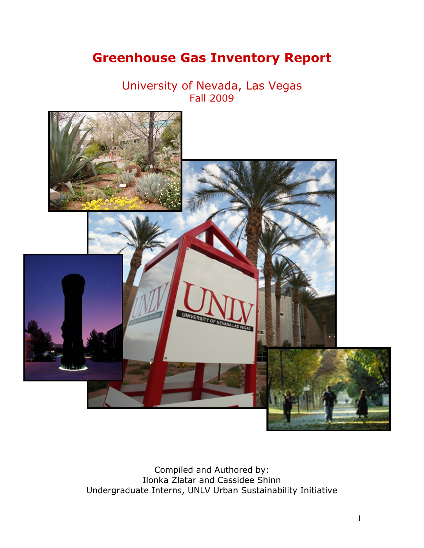# <span id="page-1-0"></span>**Greenhouse Gas Inventory Report**

University of Nevada, Las Vegas Fall 2009



Compiled and Authored by: Ilonka Zlatar and Cassidee Shinn Undergraduate Interns, UNLV Urban Sustainability Initiative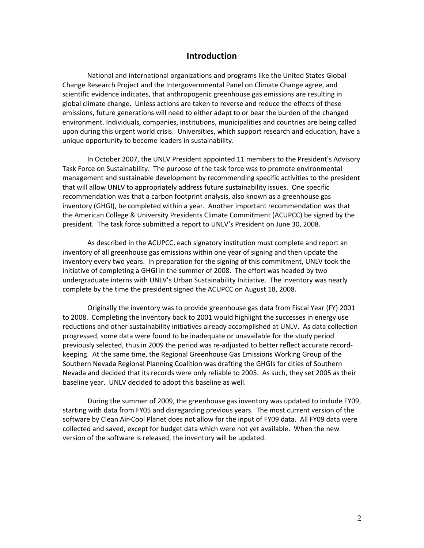### **Introduction**

National and international organizations and programs like the United States Global Change Research Project and the Intergovernmental Panel on Climate Change agree, and scientific evidence indicates, that anthropogenic greenhouse gas emissions are resulting in global climate change. Unless actions are taken to reverse and reduce the effects of these emissions, future generations will need to either adapt to or bear the burden of the changed environment. Individuals, companies, institutions, municipalities and countries are being called upon during this urgent world crisis. Universities, which support research and education, have a unique opportunity to become leaders in sustainability.

In October 2007, the UNLV President appointed 11 members to the President's Advisory Task Force on Sustainability. The purpose of the task force was to promote environmental management and sustainable development by recommending specific activities to the president that will allow UNLV to appropriately address future sustainability issues. One specific recommendation was that a carbon footprint analysis, also known as a greenhouse gas inventory (GHGI), be completed within a year. Another important recommendation was that the American College & University Presidents Climate Commitment (ACUPCC) be signed by the president. The task force submitted a report to UNLV's President on June 30, 2008.

As described in the ACUPCC, each signatory institution must complete and report an inventory of all greenhouse gas emissions within one year of signing and then update the inventory every two years. In preparation for the signing of this commitment, UNLV took the initiative of completing a GHGI in the summer of 2008. The effort was headed by two undergraduate interns with UNLV's Urban Sustainability Initiative. The inventory was nearly complete by the time the president signed the ACUPCC on August 18, 2008.

Originally the inventory was to provide greenhouse gas data from Fiscal Year (FY) 2001 to 2008. Completing the inventory back to 2001 would highlight the successes in energy use reductions and other sustainability initiatives already accomplished at UNLV. As data collection progressed, some data were found to be inadequate or unavailable for the study period previously selected, thus in 2009 the period was re-adjusted to better reflect accurate recordkeeping.!!At the same time, the Regional Greenhouse Gas Emissions Working Group of the Southern Nevada Regional Planning Coalition was drafting the GHGIs for cities of Southern Nevada and decided that its records were only reliable to 2005. As such, they set 2005 as their baseline year. UNLV decided to adopt this baseline as well.

During the summer of 2009, the greenhouse gas inventory was updated to include FY09, starting with data from FY05 and disregarding previous years. The most current version of the software by Clean Air-Cool Planet does not allow for the input of FY09 data. All FY09 data were collected and saved, except for budget data which were not yet available. When the new version of the software is released, the inventory will be updated.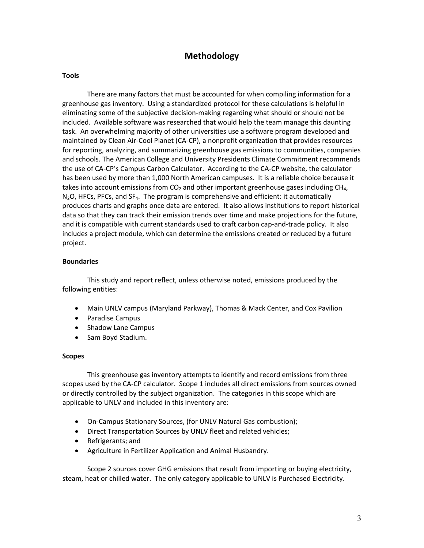# **Methodology**

#### **Tools**

There are many factors that must be accounted for when compiling information for a greenhouse gas inventory. Using a standardized protocol for these calculations is helpful in eliminating some of the subjective decision-making regarding what should or should not be included. Available software was researched that would help the team manage this daunting task. An overwhelming majority of other universities use a software program developed and maintained by Clean Air-Cool Planet (CA-CP), a nonprofit organization that provides resources for reporting, analyzing, and summarizing greenhouse gas emissions to communities, companies and schools. The American College and University Presidents Climate Commitment recommends the use of CA-CP's Campus Carbon Calculator. According to the CA-CP website, the calculator has been used by more than 1,000 North American campuses. It is a reliable choice because it takes into account emissions from  $CO<sub>2</sub>$  and other important greenhouse gases including  $CH<sub>4</sub>$ ,  $N<sub>2</sub>O$ , HFCs, PFCs, and SF<sub>4</sub>. The program is comprehensive and efficient: it automatically produces charts and graphs once data are entered. It also allows institutions to report historical data so that they can track their emission trends over time and make projections for the future, and it is compatible with current standards used to craft carbon cap-and-trade policy. It also includes a project module, which can determine the emissions created or reduced by a future project.

#### **Boundaries**

This study and report reflect, unless otherwise noted, emissions produced by the following entities:

- ! Main UNLV campus (Maryland Parkway), Thomas & Mack Center, and Cox Pavilion
- Paradise Campus
- Shadow Lane Campus
- Sam Boyd Stadium.

#### **Scopes**

This greenhouse gas inventory attempts to identify and record emissions from three scopes used by the CA-CP calculator. Scope 1 includes all direct emissions from sources owned or directly controlled by the subject organization. The categories in this scope which are applicable to UNLV and included in this inventory are:

- On-Campus Stationary Sources, (for UNLV Natural Gas combustion);
- Direct Transportation Sources by UNLV fleet and related vehicles;
- Refrigerants; and
- ! Agriculture in Fertilizer Application and Animal Husbandry.

Scope 2 sources cover GHG emissions that result from importing or buying electricity, steam, heat or chilled water. The only category applicable to UNLV is Purchased Electricity.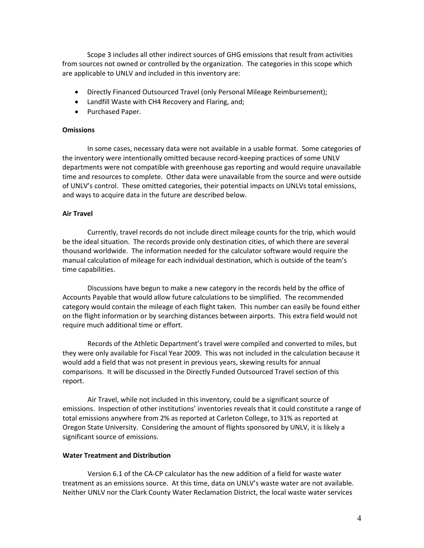Scope 3 includes all other indirect sources of GHG emissions that result from activities from sources not owned or controlled by the organization. The categories in this scope which are applicable to UNLV and included in this inventory are:

- ! Directly Financed Outsourced Travel (only Personal Mileage Reimbursement);
- Landfill Waste with CH4 Recovery and Flaring, and;
- Purchased Paper.

#### **Omissions**

In some cases, necessary data were not available in a usable format. Some categories of the inventory were intentionally omitted because record-keeping practices of some UNLV departments were not compatible with greenhouse gas reporting and would require unavailable time and resources to complete. Other data were unavailable from the source and were outside of UNLV's control. These omitted categories, their potential impacts on UNLVs total emissions, and ways to acquire data in the future are described below.

#### **Air Travel**!!

Currently, travel records do not include direct mileage counts for the trip, which would be the ideal situation. The records provide only destination cities, of which there are several thousand worldwide. The information needed for the calculator software would require the manual calculation of mileage for each individual destination, which is outside of the team's time capabilities.

Discussions have begun to make a new category in the records held by the office of Accounts Payable that would allow future calculations to be simplified. The recommended category would contain the mileage of each flight taken. This number can easily be found either on the flight information or by searching distances between airports. This extra field would not require much additional time or effort.

Records of the Athletic Department's travel were compiled and converted to miles, but they were only available for Fiscal Year 2009. This was not included in the calculation because it would add a field that was not present in previous years, skewing results for annual comparisons. It will be discussed in the Directly Funded Outsourced Travel section of this report.

Air Travel, while not included in this inventory, could be a significant source of emissions. Inspection of other institutions' inventories reveals that it could constitute a range of total emissions anywhere from 2% as reported at Carleton College, to 31% as reported at Oregon State University. Considering the amount of flights sponsored by UNLV, it is likely a significant source of emissions.

#### **Water Treatment and Distribution**!!

Version 6.1 of the CA-CP calculator has the new addition of a field for waste water treatment as an emissions source. At this time, data on UNLV's waste water are not available. Neither UNLV nor the Clark County Water Reclamation District, the local waste water services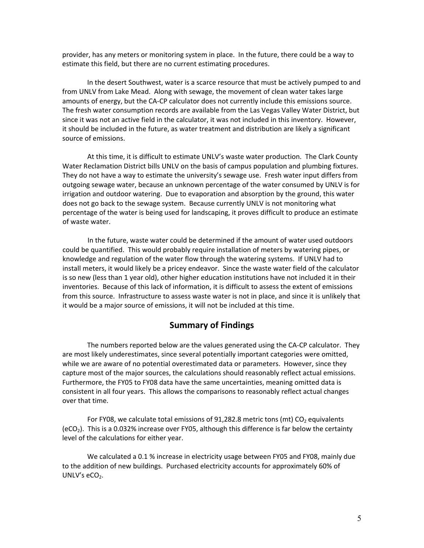provider, has any meters or monitoring system in place. In the future, there could be a way to estimate this field, but there are no current estimating procedures.

In the desert Southwest, water is a scarce resource that must be actively pumped to and from UNLV from Lake Mead. Along with sewage, the movement of clean water takes large amounts of energy, but the CA-CP calculator does not currently include this emissions source. The fresh water consumption records are available from the Las Vegas Valley Water District, but since it was not an active field in the calculator, it was not included in this inventory. However, it should be included in the future, as water treatment and distribution are likely a significant source of emissions.

At this time, it is difficult to estimate UNLV's waste water production. The Clark County Water Reclamation District bills UNLV on the basis of campus population and plumbing fixtures. They do not have a way to estimate the university's sewage use. Fresh water input differs from outgoing sewage water, because an unknown percentage of the water consumed by UNLV is for irrigation and outdoor watering. Due to evaporation and absorption by the ground, this water does not go back to the sewage system. Because currently UNLV is not monitoring what percentage of the water is being used for landscaping, it proves difficult to produce an estimate of waste water.

In the future, waste water could be determined if the amount of water used outdoors could be quantified. This would probably require installation of meters by watering pipes, or knowledge and regulation of the water flow through the watering systems. If UNLV had to install meters, it would likely be a pricey endeavor. Since the waste water field of the calculator is so new (less than 1 year old), other higher education institutions have not included it in their inventories. Because of this lack of information, it is difficult to assess the extent of emissions from this source. Infrastructure to assess waste water is not in place, and since it is unlikely that it would be a major source of emissions, it will not be included at this time.

## **Summary of Findings**

The numbers reported below are the values generated using the CA-CP calculator. They are most likely underestimates, since several potentially important categories were omitted, while we are aware of no potential overestimated data or parameters. However, since they capture most of the major sources, the calculations should reasonably reflect actual emissions. Furthermore, the FY05 to FY08 data have the same uncertainties, meaning omitted data is consistent in all four years. This allows the comparisons to reasonably reflect actual changes over that time.

For FY08, we calculate total emissions of 91,282.8 metric tons (mt)  $CO<sub>2</sub>$  equivalents  $(eCO<sub>2</sub>)$ . This is a 0.032% increase over FY05, although this difference is far below the certainty level of the calculations for either year.

We calculated a 0.1 % increase in electricity usage between FY05 and FY08, mainly due to the addition of new buildings. Purchased electricity accounts for approximately 60% of UNLV's  $eCO<sub>2</sub>$ .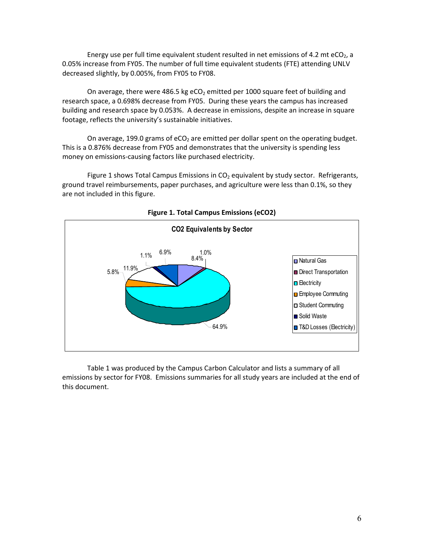Energy use per full time equivalent student resulted in net emissions of 4.2 mt eCO<sub>2</sub>, a 0.05% increase from FY05. The number of full time equivalent students (FTE) attending UNLV decreased slightly, by 0.005%, from FY05 to FY08.

On average, there were 486.5 kg eCO<sub>2</sub> emitted per 1000 square feet of building and research space, a 0.698% decrease from FY05. During these years the campus has increased building and research space by 0.053%. A decrease in emissions, despite an increase in square footage, reflects the university's sustainable initiatives.

On average, 199.0 grams of eCO<sub>2</sub> are emitted per dollar spent on the operating budget. This is a 0.876% decrease from FY05 and demonstrates that the university is spending less money on emissions-causing factors like purchased electricity.

Figure 1 shows Total Campus Emissions in  $CO<sub>2</sub>$  equivalent by study sector. Refrigerants, ground travel reimbursements, paper purchases, and agriculture were less than 0.1%, so they are not included in this figure.



**Figure 1. Total Campus Emissions (eCO2)**

Table 1 was produced by the Campus Carbon Calculator and lists a summary of all emissions by sector for FY08. Emissions summaries for all study years are included at the end of this document.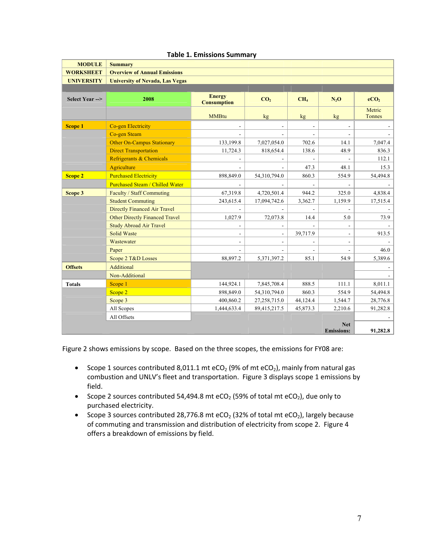| <b>MODULE</b>     | <b>Summary</b>                         |                                     |                          |                          |                          |                  |
|-------------------|----------------------------------------|-------------------------------------|--------------------------|--------------------------|--------------------------|------------------|
| <b>WORKSHEET</b>  | <b>Overview of Annual Emissions</b>    |                                     |                          |                          |                          |                  |
| <b>UNIVERSITY</b> | <b>University of Nevada, Las Vegas</b> |                                     |                          |                          |                          |                  |
|                   |                                        |                                     |                          |                          |                          |                  |
| Select Year -->   | 2008                                   | <b>Energy</b><br><b>Consumption</b> | CO <sub>2</sub>          | CH <sub>4</sub>          | $N_2O$                   | eCO <sub>2</sub> |
|                   |                                        | <b>MMBtu</b>                        | kg                       | kg                       | kg                       | Metric<br>Tonnes |
| <b>Scope 1</b>    | Co-gen Electricity                     | $\overline{\phantom{m}}$            |                          | $\overline{\phantom{a}}$ | $\overline{\phantom{a}}$ |                  |
|                   | Co-gen Steam                           |                                     |                          |                          | ÷                        |                  |
|                   | <b>Other On-Campus Stationary</b>      | 133,199.8                           | 7,027,054.0              | 702.6                    | 14.1                     | 7,047.4          |
|                   | <b>Direct Transportation</b>           | 11,724.3                            | 818,654.4                | 138.6                    | 48.9                     | 836.3            |
|                   | Refrigerants & Chemicals               |                                     |                          |                          |                          | 112.1            |
|                   | Agriculture                            |                                     |                          | 47.3                     | 48.1                     | 15.3             |
| <b>Scope 2</b>    | <b>Purchased Electricity</b>           | 898,849.0                           | 54,310,794.0             | 860.3                    | 554.9                    | 54,494.8         |
|                   | <b>Purchased Steam / Chilled Water</b> |                                     |                          |                          |                          |                  |
| Scope 3           | Faculty / Staff Commuting              | 67,319.8                            | 4,720,501.4              | 944.2                    | 325.0                    | 4,838.4          |
|                   | <b>Student Commuting</b>               | 243,615.4                           | 17,094,742.6             | 3,362.7                  | 1,159.9                  | 17,515.4         |
|                   | <b>Directly Financed Air Travel</b>    |                                     |                          |                          |                          |                  |
|                   | Other Directly Financed Travel         | 1,027.9                             | 72,073.8                 | 14.4                     | 5.0                      | 73.9             |
|                   | <b>Study Abroad Air Travel</b>         | ÷.                                  |                          |                          |                          |                  |
|                   | <b>Solid Waste</b>                     | $\overline{\phantom{a}}$            | $\overline{\phantom{a}}$ | 39,717.9                 | $\overline{\phantom{a}}$ | 913.5            |
|                   | Wastewater                             | $\frac{1}{2}$                       | ÷                        |                          | $\blacksquare$           |                  |
|                   | Paper                                  |                                     |                          |                          |                          | 46.0             |
|                   | Scope 2 T&D Losses                     | 88,897.2                            | 5,371,397.2              | 85.1                     | 54.9                     | 5,389.6          |
| <b>Offsets</b>    | Additional                             |                                     |                          |                          |                          |                  |
|                   | Non-Additional                         |                                     |                          |                          |                          |                  |
| <b>Totals</b>     | Scope 1                                | 144,924.1                           | 7,845,708.4              | 888.5                    | 111.1                    | 8,011.1          |
|                   | Scope 2                                | 898,849.0                           | 54,310,794.0             | 860.3                    | 554.9                    | 54,494.8         |
|                   | Scope 3                                | 400,860.2                           | 27,258,715.0             | 44,124.4                 | 1,544.7                  | 28,776.8         |
|                   | All Scopes                             | 1,444,633.4                         | 89,415,217.5             | 45,873.3                 | 2,210.6                  | 91,282.8         |
|                   | All Offsets                            |                                     |                          |                          |                          |                  |
|                   |                                        |                                     |                          |                          | <b>Net</b>               |                  |
|                   |                                        |                                     |                          |                          | <b>Emissions:</b>        | 91,282.8         |

#### **Table 1. Emissions Summary**

Figure 2 shows emissions by scope. Based on the three scopes, the emissions for FY08 are:

- Scope 1 sources contributed 8,011.1 mt eCO<sub>2</sub> (9% of mt eCO<sub>2</sub>), mainly from natural gas combustion and UNLV's fleet and transportation. Figure 3 displays scope 1 emissions by field.
- Scope 2 sources contributed 54,494.8 mt eCO<sub>2</sub> (59% of total mt eCO<sub>2</sub>), due only to purchased electricity.
- Scope 3 sources contributed 28,776.8 mt eCO<sub>2</sub> (32% of total mt eCO<sub>2</sub>), largely because of commuting and transmission and distribution of electricity from scope 2. Figure 4 offers a breakdown of emissions by field.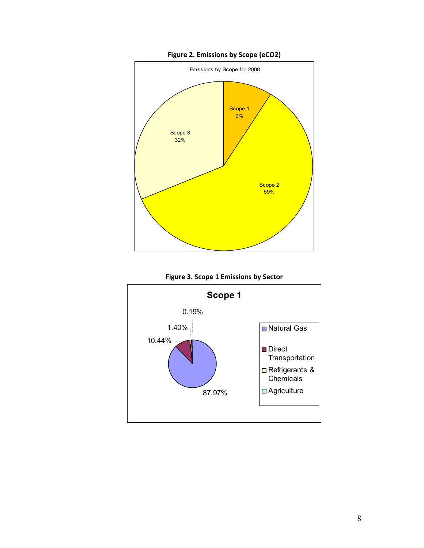

**Figure 2. Emissions by Scope (eCO2)**



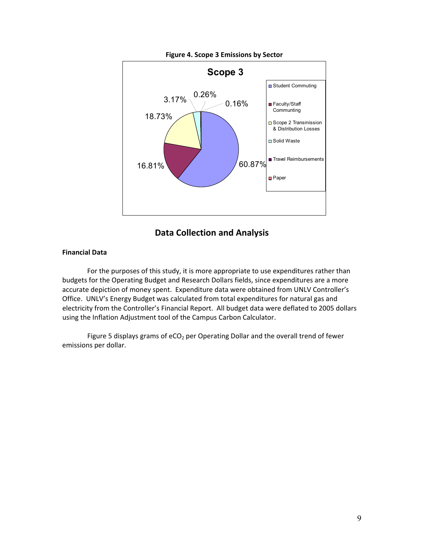

## **Data Collection and Analysis**

### **Financial Data**

For the purposes of this study, it is more appropriate to use expenditures rather than budgets for the Operating Budget and Research Dollars fields, since expenditures are a more accurate depiction of money spent. Expenditure data were obtained from UNLV Controller's Office. UNLV's Energy Budget was calculated from total expenditures for natural gas and electricity from the Controller's Financial Report. All budget data were deflated to 2005 dollars using the Inflation Adjustment tool of the Campus Carbon Calculator.

Figure 5 displays grams of  $eCO<sub>2</sub>$  per Operating Dollar and the overall trend of fewer emissions per dollar.

9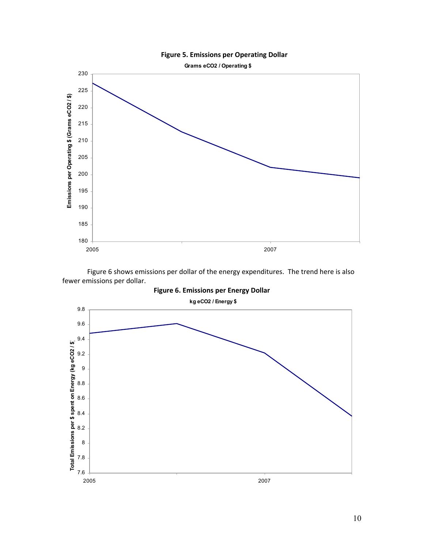



Figure 6 shows emissions per dollar of the energy expenditures. The trend here is also fewer emissions per dollar.

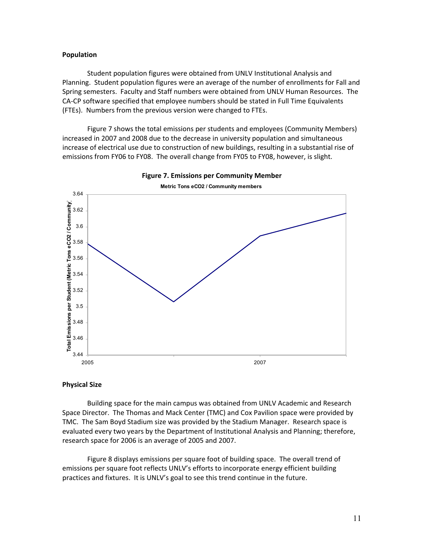#### **Population**

Student population figures were obtained from UNLV Institutional Analysis and Planning. Student population figures were an average of the number of enrollments for Fall and Spring semesters. Faculty and Staff numbers were obtained from UNLV Human Resources. The CA-CP software specified that employee numbers should be stated in Full Time Equivalents (FTEs). Numbers from the previous version were changed to FTEs.

Figure 7 shows the total emissions per students and employees (Community Members) increased in 2007 and 2008 due to the decrease in university population and simultaneous increase of electrical use due to construction of new buildings, resulting in a substantial rise of emissions from FY06 to FY08. The overall change from FY05 to FY08, however, is slight.





#### **Physical Size**

Building space for the main campus was obtained from UNLV Academic and Research Space Director. The Thomas and Mack Center (TMC) and Cox Pavilion space were provided by TMC. The Sam Boyd Stadium size was provided by the Stadium Manager. Research space is evaluated every two years by the Department of Institutional Analysis and Planning; therefore, research space for 2006 is an average of 2005 and 2007.

Figure 8 displays emissions per square foot of building space. The overall trend of emissions per square foot reflects UNLV's efforts to incorporate energy efficient building practices and fixtures. It is UNLV's goal to see this trend continue in the future.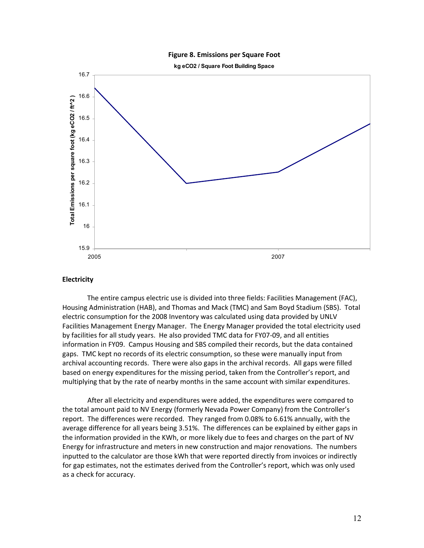#### **Figure 8. Emissions per Square Foot**

**kg eCO2 / Square Foot Building Space**



#### **Electricity**

The entire campus electric use is divided into three fields: Facilities Management (FAC), Housing Administration (HAB), and Thomas and Mack (TMC) and Sam Boyd Stadium (SBS). Total electric consumption for the 2008 Inventory was calculated using data provided by UNLV Facilities Management Energy Manager. The Energy Manager provided the total electricity used by facilities for all study years. He also provided TMC data for FY07-09, and all entities information in FY09. Campus Housing and SBS compiled their records, but the data contained gaps. TMC kept no records of its electric consumption, so these were manually input from archival accounting records. There were also gaps in the archival records. All gaps were filled based on energy expenditures for the missing period, taken from the Controller's report, and multiplying that by the rate of nearby months in the same account with similar expenditures.

After all electricity and expenditures were added, the expenditures were compared to the total amount paid to NV Energy (formerly Nevada Power Company) from the Controller's report. The differences were recorded. They ranged from 0.08% to 6.61% annually, with the average difference for all years being 3.51%. The differences can be explained by either gaps in the information provided in the KWh, or more likely due to fees and charges on the part of NV Energy for infrastructure and meters in new construction and major renovations. The numbers inputted to the calculator are those kWh that were reported directly from invoices or indirectly for gap estimates, not the estimates derived from the Controller's report, which was only used as a check for accuracy.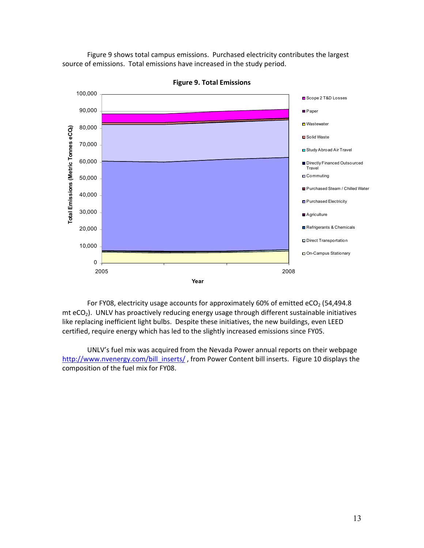Figure 9 shows total campus emissions. Purchased electricity contributes the largest source of emissions. Total emissions have increased in the study period.



**Figure 9. Total Emissions**

For FY08, electricity usage accounts for approximately 60% of emitted eCO<sub>2</sub> (54,494.8)  $m$ t eCO<sub>2</sub>). UNLV has proactively reducing energy usage through different sustainable initiatives like replacing inefficient light bulbs. Despite these initiatives, the new buildings, even LEED certified, require energy which has led to the slightly increased emissions since FY05.

UNLV's fuel mix was acquired from the Nevada Power annual reports on their webpage [http://www.nvenergy.com/bill\\_inserts/](http://www.nvenergy.com/bill_inserts/), from Power Content bill inserts. Figure 10 displays the composition of the fuel mix for FY08.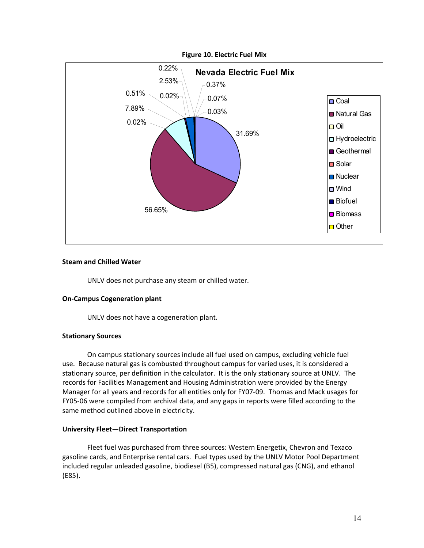

#### **Steam and Chilled Water**

UNLV does not purchase any steam or chilled water.

#### **On"Campus Cogeneration plant**

UNLV does not have a cogeneration plant.

#### **Stationary Sources**

On campus stationary sources include all fuel used on campus, excluding vehicle fuel use. Because natural gas is combusted throughout campus for varied uses, it is considered a stationary source, per definition in the calculator. It is the only stationary source at UNLV. The records for Facilities Management and Housing Administration were provided by the Energy Manager for all years and records for all entities only for FY07-09. Thomas and Mack usages for FY05-06 were compiled from archival data, and any gaps in reports were filled according to the same method outlined above in electricity.

#### **University Fleet—Direct Transportation**

Fleet fuel was purchased from three sources: Western Energetix, Chevron and Texaco gasoline cards, and Enterprise rental cars. Fuel types used by the UNLV Motor Pool Department included regular unleaded gasoline, biodiesel (B5), compressed natural gas (CNG), and ethanol  $(E85).$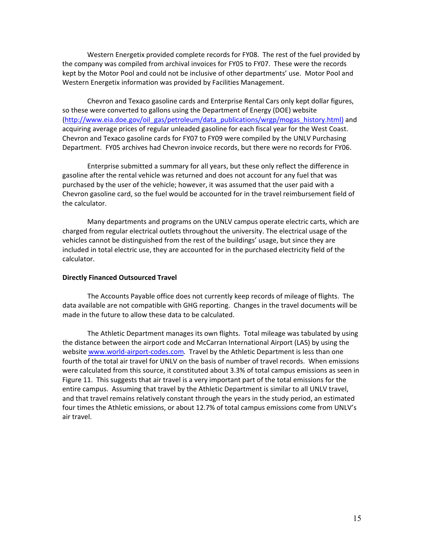Western Energetix provided complete records for FY08. The rest of the fuel provided by the company was compiled from archival invoices for FY05 to FY07. These were the records kept by the Motor Pool and could not be inclusive of other departments' use. Motor Pool and Western Energetix information was provided by Facilities Management.

Chevron and Texaco gasoline cards and Enterprise Rental Cars only kept dollar figures, so these were converted to gallons using the Department of Energy (DOE) website [\(http://www.eia.doe.gov/oil\\_gas/petroleum/data\\_publications/wrgp/mogas\\_history.html](http://www.eia.doe.gov/oil_gas/petroleum/data_publications/wrgp/mogas_history.html)) and acquiring average prices of regular unleaded gasoline for each fiscal year for the West Coast. Chevron and Texaco gasoline cards for FY07 to FY09 were compiled by the UNLV Purchasing Department. FY05 archives had Chevron invoice records, but there were no records for FY06.

Enterprise submitted a summary for all years, but these only reflect the difference in gasoline after the rental vehicle was returned and does not account for any fuel that was purchased by the user of the vehicle; however, it was assumed that the user paid with a Chevron gasoline card, so the fuel would be accounted for in the travel reimbursement field of the calculator.

Many departments and programs on the UNLV campus operate electric carts, which are charged from regular electrical outlets throughout the university. The electrical usage of the vehicles cannot be distinguished from the rest of the buildings' usage, but since they are included in total electric use, they are accounted for in the purchased electricity field of the calculator.

#### **Directly Financed Outsourced Travel**

The Accounts Payable office does not currently keep records of mileage of flights. The data available are not compatible with GHG reporting. Changes in the travel documents will be made in the future to allow these data to be calculated.

The Athletic Department manages its own flights. Total mileage was tabulated by using the distance between the airport code and McCarran International Airport (LAS) by using the website www.world-airport-codes.com. Travel by the Athletic Department is less than one fourth of the total air travel for UNLV on the basis of number of travel records. When emissions were calculated from this source, it constituted about 3.3% of total campus emissions as seen in Figure 11. This suggests that air travel is a very important part of the total emissions for the entire campus. Assuming that travel by the Athletic Department is similar to all UNLV travel, and that travel remains relatively constant through the years in the study period, an estimated four times the Athletic emissions, or about 12.7% of total campus emissions come from UNLV's air travel.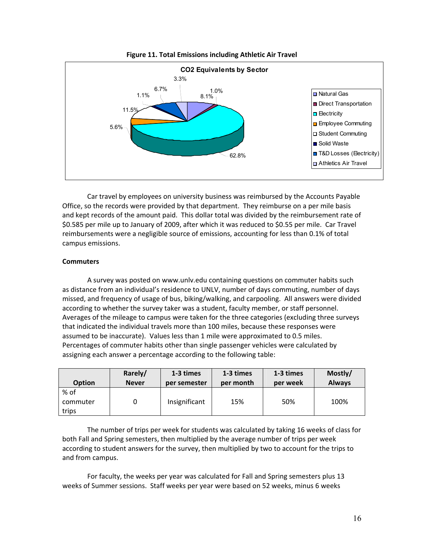

**Figure 11. Total Emissions including Athletic Air Travel**

Car travel by employees on university business was reimbursed by the Accounts Payable Office, so the records were provided by that department. They reimburse on a per mile basis and kept records of the amount paid. This dollar total was divided by the reimbursement rate of \$0.585 per mile up to January of 2009, after which it was reduced to \$0.55 per mile. Car Travel reimbursements were a negligible source of emissions, accounting for less than 0.1% of total campus emissions.!!

#### **Commuters**

A survey was posted on www.unlv.edu containing questions on commuter habits such as distance from an individual's residence to UNLV, number of days commuting, number of days missed, and frequency of usage of bus, biking/walking, and carpooling. All answers were divided according to whether the survey taker was a student, faculty member, or staff personnel. Averages of the mileage to campus were taken for the three categories (excluding three surveys that indicated the individual travels more than 100 miles, because these responses were assumed to be inaccurate). Values less than 1 mile were approximated to 0.5 miles. Percentages of commuter habits other than single passenger vehicles were calculated by assigning each answer a percentage according to the following table:

| <b>Option</b>             | Rarely/      | 1-3 times     | 1-3 times | 1-3 times | Mostly/       |
|---------------------------|--------------|---------------|-----------|-----------|---------------|
|                           | <b>Never</b> | per semester  | per month | per week  | <b>Always</b> |
| % of<br>commuter<br>trips |              | Insignificant | 15%       | 50%       | 100%          |

The number of trips per week for students was calculated by taking 16 weeks of class for both Fall and Spring semesters, then multiplied by the average number of trips per week according to student answers for the survey, then multiplied by two to account for the trips to and from campus.

For faculty, the weeks per year was calculated for Fall and Spring semesters plus 13 weeks of Summer sessions. Staff weeks per year were based on 52 weeks, minus 6 weeks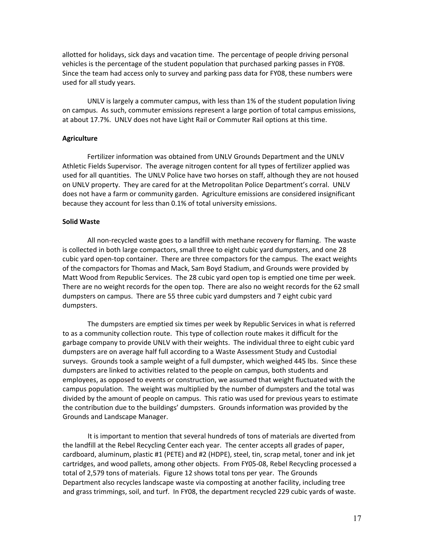allotted for holidays, sick days and vacation time. The percentage of people driving personal vehicles is the percentage of the student population that purchased parking passes in FY08. Since the team had access only to survey and parking pass data for FY08, these numbers were used for all study years.

UNLV is largely a commuter campus, with less than 1% of the student population living on campus. As such, commuter emissions represent a large portion of total campus emissions, at about 17.7%. UNLV does not have Light Rail or Commuter Rail options at this time.

#### **Agriculture**

Fertilizer information was obtained from UNLV Grounds Department and the UNLV Athletic Fields Supervisor. The average nitrogen content for all types of fertilizer applied was used for all quantities. The UNLV Police have two horses on staff, although they are not housed on UNLV property. They are cared for at the Metropolitan Police Department's corral. UNLV does not have a farm or community garden. Agriculture emissions are considered insignificant because they account for less than 0.1% of total university emissions.

#### **Solid Waste**

All non-recycled waste goes to a landfill with methane recovery for flaming. The waste is collected in both large compactors, small three to eight cubic yard dumpsters, and one 28 cubic yard open-top container. There are three compactors for the campus. The exact weights of the compactors for Thomas and Mack, Sam Boyd Stadium, and Grounds were provided by Matt Wood from Republic Services. The 28 cubic yard open top is emptied one time per week. There are no weight records for the open top. There are also no weight records for the 62 small dumpsters on campus. There are 55 three cubic yard dumpsters and 7 eight cubic yard dumpsters.

The dumpsters are emptied six times per week by Republic Services in what is referred to as a community collection route. This type of collection route makes it difficult for the garbage company to provide UNLV with their weights. The individual three to eight cubic yard dumpsters are on average half full according to a Waste Assessment Study and Custodial surveys. Grounds took a sample weight of a full dumpster, which weighed 445 lbs. Since these dumpsters are linked to activities related to the people on campus, both students and employees, as opposed to events or construction, we assumed that weight fluctuated with the campus population. The weight was multiplied by the number of dumpsters and the total was divided by the amount of people on campus. This ratio was used for previous years to estimate the contribution due to the buildings' dumpsters. Grounds information was provided by the Grounds and Landscape Manager.!!

It is important to mention that several hundreds of tons of materials are diverted from the landfill at the Rebel Recycling Center each year. The center accepts all grades of paper, cardboard, aluminum, plastic #1 (PETE) and #2 (HDPE), steel, tin, scrap metal, toner and ink jet cartridges, and wood pallets, among other objects. From FY05-08, Rebel Recycling processed a total of 2,579 tons of materials. Figure 12 shows total tons per year. The Grounds Department also recycles landscape waste via composting at another facility, including tree and grass trimmings, soil, and turf. In FY08, the department recycled 229 cubic yards of waste.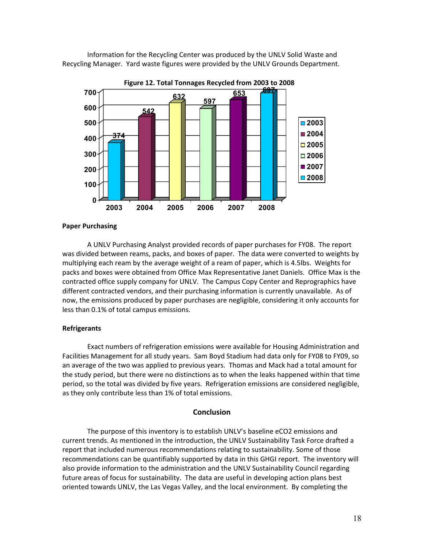Information for the Recycling Center was produced by the UNLV Solid Waste and Recycling Manager. Yard waste figures were provided by the UNLV Grounds Department.



#### **Paper Purchasing**

A UNLV Purchasing Analyst provided records of paper purchases for FY08. The report was divided between reams, packs, and boxes of paper. The data were converted to weights by multiplying each ream by the average weight of a ream of paper, which is 4.5lbs. Weights for packs and boxes were obtained from Office Max Representative Janet Daniels. Office Max is the contracted office supply company for UNLV. The Campus Copy Center and Reprographics have different contracted vendors, and their purchasing information is currently unavailable. As of now, the emissions produced by paper purchases are negligible, considering it only accounts for less than 0.1% of total campus emissions.

#### **Refrigerants**

Exact numbers of refrigeration emissions were available for Housing Administration and Facilities Management for all study years. Sam Boyd Stadium had data only for FY08 to FY09, so an average of the two was applied to previous years. Thomas and Mack had a total amount for the study period, but there were no distinctions as to when the leaks happened within that time period, so the total was divided by five years. Refrigeration emissions are considered negligible, as they only contribute less than 1% of total emissions.

#### **Conclusion**

The purpose of this inventory is to establish UNLV's baseline eCO2 emissions and current trends. As mentioned in the introduction, the UNLV Sustainability Task Force drafted a report that included numerous recommendations relating to sustainability. Some of those recommendations can be quantifiably supported by data in this GHGI report. The inventory will also provide information to the administration and the UNLV Sustainability Council regarding future areas of focus for sustainability. The data are useful in developing action plans best oriented towards UNLV, the Las Vegas Valley, and the local environment. By completing the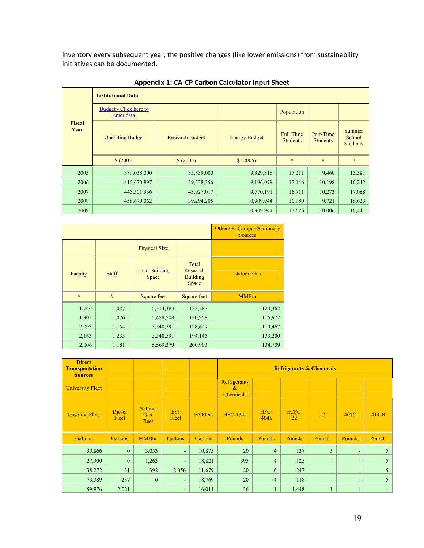inventory every subsequent year, the positive changes (like lower emissions) from sustainability initiatives can be documented.

|                       | <b>Institutional Data</b>            |                        |                      |                                     |                              |                                     |
|-----------------------|--------------------------------------|------------------------|----------------------|-------------------------------------|------------------------------|-------------------------------------|
|                       | Budget - Click here to<br>enter data |                        |                      | Population                          |                              |                                     |
| <b>Fiscal</b><br>Year | <b>Operating Budget</b>              | <b>Research Budget</b> | <b>Energy Budget</b> | <b>Full Time</b><br><b>Students</b> | Part-Time<br><b>Students</b> | Summer<br>School<br><b>Students</b> |
|                       | \$ (2005)                            | \$ (2005)              | \$ (2005)            | #                                   | #                            | #                                   |
| 2005                  | 389,038,000                          | 35,839,000             | 9,329,316            | 17,211                              | 9,460                        | 15,381                              |
| 2006                  | 415,670,897                          | 39,538,356             | 9,196,078            | 17,146                              | 10,198                       | 16,242                              |
| 2007                  | 445,501,336                          | 43,927,017             | 9,770,191            | 16,711                              | 10,273                       | 17,068                              |
| 2008                  | 458,679,062                          | 39,294,205             | 10,909,944           | 16,980                              | 9,721                        | 16,623                              |
| 2009                  |                                      |                        | 10,909,944           | 17,626                              | 10,006                       | 16,441                              |

**Appendix 1: CA"CP Carbon Calculator Input Sheet**

|         |              |                                |                                               | <b>Other On-Campus Stationary</b><br><b>Sources</b> |
|---------|--------------|--------------------------------|-----------------------------------------------|-----------------------------------------------------|
|         |              | <b>Physical Size</b>           |                                               |                                                     |
| Faculty | <b>Staff</b> | <b>Total Building</b><br>Space | Total<br>Research<br><b>Building</b><br>Space | <b>Natural Gas</b>                                  |
| #       | #            | Square feet                    | Square feet                                   | <b>MMBtu</b>                                        |
| 1,746   | 1,027        | 5,314,383                      | 133,287                                       | 124,362                                             |
| 1,902   | 1,076        | 5,458,508                      | 130,958                                       | 115,972                                             |
| 2,093   | 1,154        | 5,540,591                      | 128,629                                       | 119,467                                             |
| 2,163   | 1,235        | 5,540,591                      | 194,145                                       | 133,200                                             |
| 2,006   | 1,181        | 5,569,379                      | 200,903                                       | 134,709                                             |

| <b>Direct</b><br><b>Transportation</b><br><b>Sources</b> |                        |                                |                     |                 | <b>Refrigerants &amp; Chemicals</b>          |                |               |                |        |         |
|----------------------------------------------------------|------------------------|--------------------------------|---------------------|-----------------|----------------------------------------------|----------------|---------------|----------------|--------|---------|
| <b>University Fleet</b>                                  |                        |                                |                     |                 | Refrigerants<br>$\alpha$<br><b>Chemicals</b> |                |               |                |        |         |
| <b>Gasoline Fleet</b>                                    | <b>Diesel</b><br>Fleet | Natural<br><b>Gas</b><br>Fleet | <b>E85</b><br>Fleet | <b>B5</b> Fleet | <b>HFC-134a</b>                              | HFC-<br>404a   | HCFC-<br>22   | 12             | 407C   | $414-B$ |
| <b>Gallons</b>                                           | <b>Gallons</b>         | <b>MMBtu</b>                   | <b>Gallons</b>      | <b>Gallons</b>  | <b>Pounds</b>                                | <b>Pounds</b>  | <b>Pounds</b> | <b>Pounds</b>  | Pounds | Pounds  |
| 30,866                                                   | $\mathbf{0}$           | 3,053                          | ÷.                  | 10,875          | 20                                           | $\overline{4}$ | 137           | $\overline{3}$ | ٠      | 5       |
| 27,300                                                   | $\mathbf{0}$           | 1,263                          | ٠                   | 18,821          | 395                                          | $\overline{4}$ | 125           | ٠              | ٠      | 5       |
| 38,272                                                   | 31                     | 392                            | 2,056               | 11,679          | 20                                           | 6              | 247           | ٠              | ٠      | 5       |
| 73,389                                                   | 237                    | $\mathbf{0}$                   | ٠                   | 18,769          | 20                                           | $\overline{4}$ | 118           | ٠              | ٠      | 5       |
| 59,976                                                   | 2,021                  | $\blacksquare$                 | ٠.                  | 16,011          | 36                                           | 1              | 1,448         |                |        |         |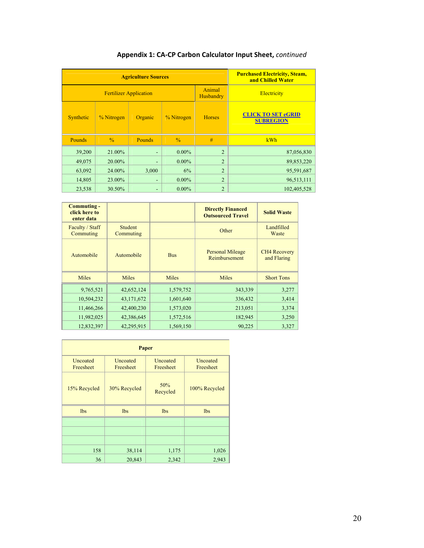| <b>Agriculture Sources</b>    |               |                |                     |                | <b>Purchased Electricity, Steam,</b><br>and Chilled Water |
|-------------------------------|---------------|----------------|---------------------|----------------|-----------------------------------------------------------|
| <b>Fertilizer Application</b> |               |                | Animal<br>Husbandry | Electricity    |                                                           |
| Synthetic                     | % Nitrogen    | Organic        | % Nitrogen          | <b>Horses</b>  | <b>CLICK TO SET eGRID</b><br><b>SUBREGION</b>             |
| <b>Pounds</b>                 | $\frac{0}{0}$ | <b>Pounds</b>  | $\frac{0}{0}$       | #              | kWh                                                       |
| 39,200                        | 21.00%        | $\blacksquare$ | $0.00\%$            | $\overline{2}$ | 87,056,830                                                |
| 49,075                        | 20.00%        | ٠              | $0.00\%$            | $\overline{2}$ | 89,853,220                                                |
| 63,092                        | 24.00%        | 3,000          | 6%                  | $\overline{2}$ | 95,591,687                                                |
| 14,805                        | 23.00%        | ٠              | $0.00\%$            | $\overline{2}$ | 96,513,111                                                |
| 23,538                        | 30.50%        | ٠              | $0.00\%$            | $\overline{2}$ | 102,405,528                                               |

# **Appendix 1: CA"CP Carbon Calculator Input Sheet,** *continued*

| <b>Commuting -</b><br>click here to<br>enter data |                             |            | <b>Directly Financed</b><br><b>Outsourced Travel</b> | <b>Solid Waste</b>                 |
|---------------------------------------------------|-----------------------------|------------|------------------------------------------------------|------------------------------------|
| Faculty / Staff<br>Commuting                      | <b>Student</b><br>Commuting |            | Other                                                | Landfilled<br>Waste                |
| Automobile                                        | Automobile                  | <b>Bus</b> | <b>Personal Mileage</b><br>Reimbursement             | <b>CH4 Recovery</b><br>and Flaring |
| Miles                                             | Miles                       | Miles      | Miles                                                | <b>Short Tons</b>                  |
| 9,765,521                                         | 42,652,124                  | 1,579,752  | 343,339                                              | 3,277                              |
| 10,504,232                                        | 43,171,672                  | 1,601,640  | 336,432                                              | 3,414                              |
| 11,466,266                                        | 42,400,230                  | 1,573,020  | 213,051                                              | 3,374                              |
| 11,982,025                                        | 42,386,645                  | 1,572,516  | 182,945                                              | 3,250                              |
| 12,832,397                                        | 42,295,915                  | 1,569,150  | 90,225                                               | 3,327                              |

| Paper                 |                       |                       |                       |  |  |  |  |  |
|-----------------------|-----------------------|-----------------------|-----------------------|--|--|--|--|--|
| Uncoated<br>Freesheet | Uncoated<br>Freesheet | Uncoated<br>Freesheet | Uncoated<br>Freesheet |  |  |  |  |  |
| 15% Recycled          | 30% Recycled          | 50%<br>Recycled       | 100% Recycled         |  |  |  |  |  |
| <b>lbs</b>            | <b>lbs</b>            | lbs                   | <b>lbs</b>            |  |  |  |  |  |
|                       |                       |                       |                       |  |  |  |  |  |
|                       |                       |                       |                       |  |  |  |  |  |
|                       |                       |                       |                       |  |  |  |  |  |
| 158                   | 38,114                | 1,175                 | 1,026                 |  |  |  |  |  |
| 36                    | 20,843                | 2,342                 | 2,943                 |  |  |  |  |  |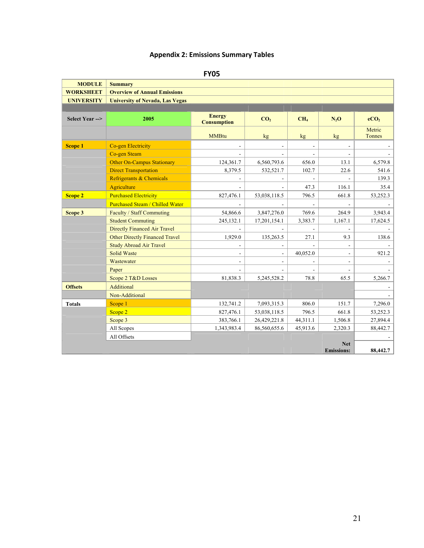# **Appendix 2: Emissions Summary Tables**

|  | ×<br>۰. | ۰. |  |
|--|---------|----|--|
|  |         |    |  |

| <b>MODULE</b>     | <b>Summary</b>                         |                                     |                 |                 |                   |                  |
|-------------------|----------------------------------------|-------------------------------------|-----------------|-----------------|-------------------|------------------|
| <b>WORKSHEET</b>  | <b>Overview of Annual Emissions</b>    |                                     |                 |                 |                   |                  |
| <b>UNIVERSITY</b> | <b>University of Nevada, Las Vegas</b> |                                     |                 |                 |                   |                  |
|                   |                                        |                                     |                 |                 |                   |                  |
| Select Year -->   | 2005                                   | <b>Energy</b><br><b>Consumption</b> | CO <sub>2</sub> | CH <sub>4</sub> | $N_2O$            | eCO <sub>2</sub> |
|                   |                                        | <b>MMBtu</b>                        | kg <sub>2</sub> | kg              | kg <sub>2</sub>   | Metric<br>Tonnes |
| <b>Scope 1</b>    | Co-gen Electricity                     |                                     |                 | $\blacksquare$  | $\blacksquare$    |                  |
|                   | Co-gen Steam                           |                                     |                 |                 |                   |                  |
|                   | <b>Other On-Campus Stationary</b>      | 124,361.7                           | 6,560,793.6     | 656.0           | 13.1              | 6,579.8          |
|                   | <b>Direct Transportation</b>           | 8,379.5                             | 532,521.7       | 102.7           | 22.6              | 541.6            |
|                   | Refrigerants & Chemicals               |                                     |                 |                 |                   | 139.3            |
|                   | Agriculture                            |                                     |                 | 47.3            | 116.1             | 35.4             |
| <b>Scope 2</b>    | <b>Purchased Electricity</b>           | 827,476.1                           | 53,038,118.5    | 796.5           | 661.8             | 53,252.3         |
|                   | <b>Purchased Steam / Chilled Water</b> |                                     |                 |                 |                   |                  |
| Scope 3           | Faculty / Staff Commuting              | 54,866.6                            | 3,847,276.0     | 769.6           | 264.9             | 3,943.4          |
|                   | <b>Student Commuting</b>               | 245,132.1                           | 17,201,154.1    | 3,383.7         | 1,167.1           | 17,624.5         |
|                   | <b>Directly Financed Air Travel</b>    |                                     |                 |                 |                   |                  |
|                   | Other Directly Financed Travel         | 1,929.0                             | 135,263.5       | 27.1            | 9.3               | 138.6            |
|                   | <b>Study Abroad Air Travel</b>         |                                     |                 |                 |                   |                  |
|                   | <b>Solid Waste</b>                     | $\overline{\phantom{a}}$            | $\blacksquare$  | 40,052.0        | $\blacksquare$    | 921.2            |
|                   | Wastewater                             | $\blacksquare$                      |                 |                 |                   |                  |
|                   | Paper                                  |                                     |                 |                 |                   |                  |
|                   | Scope 2 T&D Losses                     | 81,838.3                            | 5,245,528.2     | 78.8            | 65.5              | 5,266.7          |
| <b>Offsets</b>    | Additional                             |                                     |                 |                 |                   |                  |
|                   | Non-Additional                         |                                     |                 |                 |                   |                  |
| <b>Totals</b>     | Scope 1                                | 132,741.2                           | 7,093,315.3     | 806.0           | 151.7             | 7,296.0          |
|                   | Scope 2                                | 827,476.1                           | 53,038,118.5    | 796.5           | 661.8             | 53,252.3         |
|                   | Scope 3                                | 383,766.1                           | 26,429,221.8    | 44,311.1        | 1,506.8           | 27,894.4         |
|                   | All Scopes                             | 1,343,983.4                         | 86,560,655.6    | 45,913.6        | 2,320.3           | 88,442.7         |
|                   | All Offsets                            |                                     |                 |                 |                   |                  |
|                   |                                        |                                     |                 |                 | <b>Net</b>        |                  |
|                   |                                        |                                     |                 |                 | <b>Emissions:</b> | 88,442.7         |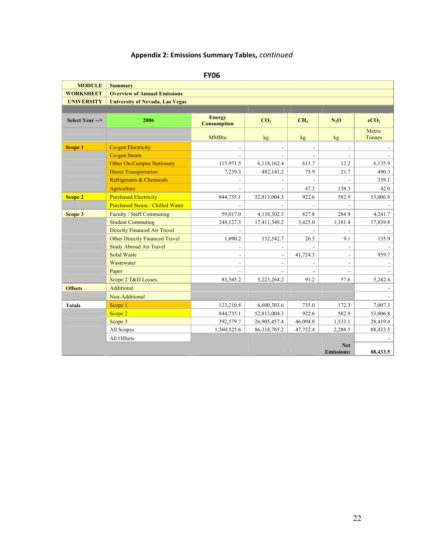# **Appendix 2: Emissions Summary Tables,** *continued*

| ×<br>۰.<br>w<br>۰. |
|--------------------|
|--------------------|

| <b>MODULE</b>     | <b>Summary</b>                         |                                     |                 |                 |                                 |                  |
|-------------------|----------------------------------------|-------------------------------------|-----------------|-----------------|---------------------------------|------------------|
| <b>WORKSHEET</b>  | <b>Overview of Annual Emissions</b>    |                                     |                 |                 |                                 |                  |
| <b>UNIVERSITY</b> | <b>University of Nevada, Las Vegas</b> |                                     |                 |                 |                                 |                  |
|                   |                                        |                                     |                 |                 |                                 |                  |
| Select Year -->   | 2006                                   | <b>Energy</b><br><b>Consumption</b> | CO <sub>2</sub> | CH <sub>4</sub> | $N_2O$                          | eCO <sub>2</sub> |
|                   |                                        | <b>MMBtu</b>                        | kg <sub>2</sub> | kg <sub>2</sub> | kg <sub>2</sub>                 | Metric<br>Tonnes |
| <b>Scope 1</b>    | Co-gen Electricity                     |                                     |                 |                 |                                 |                  |
|                   | Co-gen Steam                           |                                     |                 |                 |                                 |                  |
|                   | <b>Other On-Campus Stationary</b>      | 115,971.5                           | 6,118,162.4     | 611.7           | 12.2                            | 6,135.9          |
|                   | <b>Direct Transportation</b>           | 7,239.3                             | 482,141.2       | 75.9            | 21.7                            | 490.3            |
|                   | Refrigerants & Chemicals               |                                     |                 |                 |                                 | 339.1            |
|                   | <b>Agriculture</b>                     |                                     |                 | 47.3            | 138.3                           | 42.0             |
| <b>Scope 2</b>    | <b>Purchased Electricity</b>           | 844,735.1                           | 52,813,004.3    | 922.6           | 582.9                           | 53,006.8         |
|                   | <b>Purchased Steam / Chilled Water</b> |                                     |                 |                 |                                 |                  |
| Scope 3           | Faculty / Staff Commuting              | 59,017.0                            | 4,138,302.3     | 827.8           | 284.9                           | 4,241.7          |
|                   | <b>Student Commuting</b>               | 248,127.3                           | 17,411,348.2    | 3,425.0         | 1,181.4                         | 17,839.8         |
|                   | <b>Directly Financed Air Travel</b>    |                                     |                 |                 |                                 |                  |
|                   | <b>Other Directly Financed Travel</b>  | 1,890.2                             | 132,542.7       | 26.5            | 9.1                             | 135.9            |
|                   | <b>Study Abroad Air Travel</b>         |                                     |                 |                 |                                 |                  |
|                   | <b>Solid Waste</b>                     | $\blacksquare$                      | ÷               | 41,724.3        | $\blacksquare$                  | 959.7            |
|                   | Wastewater                             | $\blacksquare$                      |                 |                 |                                 |                  |
|                   | Paper                                  |                                     |                 |                 |                                 |                  |
|                   | Scope 2 T&D Losses                     | 83,545.2                            | 5,223,264.2     | 91.2            | 57.6                            | 5,242.4          |
| <b>Offsets</b>    | Additional                             |                                     |                 |                 |                                 |                  |
|                   | Non-Additional                         |                                     |                 |                 |                                 |                  |
| <b>Totals</b>     | Scope 1                                | 123,210.8                           | 6,600,303.6     | 735.0           | 172.3                           | 7,007.3          |
|                   | Scope 2                                | 844,735.1                           | 52,813,004.3    | 922.6           | 582.9                           | 53,006.8         |
|                   | Scope 3                                | 392,579.7                           | 26,905,457.4    | 46,094.8        | 1,533.1                         | 28,419.4         |
|                   | All Scopes                             | 1,360,525.6                         | 86,318,765.2    | 47,752.4        | 2,288.3                         | 88,433.5         |
|                   | All Offsets                            |                                     |                 |                 |                                 |                  |
|                   |                                        |                                     |                 |                 | <b>Net</b><br><b>Emissions:</b> | 88,433.5         |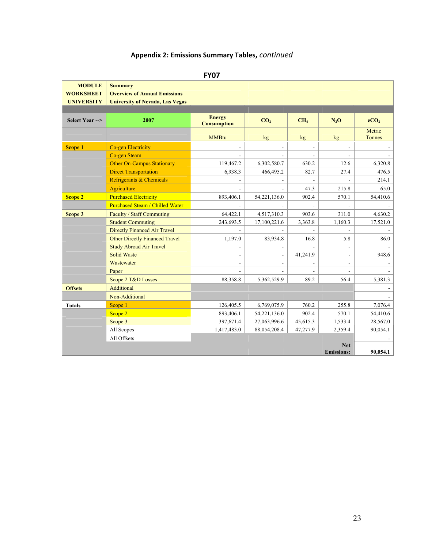# **Appendix 2: Emissions Summary Tables,** *continued*

| ×<br>۰. |
|---------|
|---------|

| <b>MODULE</b>     | <b>Summary</b>                         |                                     |                 |                 |                                 |                  |  |  |  |
|-------------------|----------------------------------------|-------------------------------------|-----------------|-----------------|---------------------------------|------------------|--|--|--|
| <b>WORKSHEET</b>  | <b>Overview of Annual Emissions</b>    |                                     |                 |                 |                                 |                  |  |  |  |
| <b>UNIVERSITY</b> | <b>University of Nevada, Las Vegas</b> |                                     |                 |                 |                                 |                  |  |  |  |
|                   |                                        |                                     |                 |                 |                                 |                  |  |  |  |
| Select Year -->   | 2007                                   | <b>Energy</b><br><b>Consumption</b> | CO <sub>2</sub> | CH <sub>4</sub> | $N_2O$                          | eCO <sub>2</sub> |  |  |  |
|                   |                                        | <b>MMBtu</b>                        | kg <sub>2</sub> | kg <sub>2</sub> | kg                              | Metric<br>Tonnes |  |  |  |
| <b>Scope 1</b>    | Co-gen Electricity                     | $\blacksquare$                      |                 |                 |                                 |                  |  |  |  |
|                   | Co-gen Steam                           |                                     |                 |                 |                                 |                  |  |  |  |
|                   | <b>Other On-Campus Stationary</b>      | 119,467.2                           | 6,302,580.7     | 630.2           | 12.6                            | 6,320.8          |  |  |  |
|                   | <b>Direct Transportation</b>           | 6,938.3                             | 466,495.2       | 82.7            | 27.4                            | 476.5            |  |  |  |
|                   | Refrigerants & Chemicals               |                                     |                 |                 |                                 | 214.1            |  |  |  |
|                   | Agriculture                            |                                     |                 | 47.3            | 215.8                           | 65.0             |  |  |  |
| <b>Scope 2</b>    | <b>Purchased Electricity</b>           | 893,406.1                           | 54,221,136.0    | 902.4           | 570.1                           | 54,410.6         |  |  |  |
|                   | <b>Purchased Steam / Chilled Water</b> |                                     |                 |                 |                                 |                  |  |  |  |
| Scope 3           | Faculty / Staff Commuting              | 64,422.1                            | 4,517,310.3     | 903.6           | 311.0                           | 4,630.2          |  |  |  |
|                   | <b>Student Commuting</b>               | 243,693.5                           | 17,100,221.6    | 3,363.8         | 1,160.3                         | 17,521.0         |  |  |  |
|                   | <b>Directly Financed Air Travel</b>    |                                     |                 |                 |                                 |                  |  |  |  |
|                   | Other Directly Financed Travel         | 1,197.0                             | 83,934.8        | 16.8            | 5.8                             | 86.0             |  |  |  |
|                   | <b>Study Abroad Air Travel</b>         | $\blacksquare$                      |                 |                 |                                 |                  |  |  |  |
|                   | <b>Solid Waste</b>                     | $\blacksquare$                      | ÷.              | 41,241.9        | $\blacksquare$                  | 948.6            |  |  |  |
|                   | Wastewater                             | $\blacksquare$                      |                 |                 |                                 |                  |  |  |  |
|                   | Paper                                  |                                     |                 |                 |                                 |                  |  |  |  |
|                   | Scope 2 T&D Losses                     | 88,358.8                            | 5,362,529.9     | 89.2            | 56.4                            | 5,381.3          |  |  |  |
| <b>Offsets</b>    | Additional                             |                                     |                 |                 |                                 |                  |  |  |  |
|                   | Non-Additional                         |                                     |                 |                 |                                 |                  |  |  |  |
| <b>Totals</b>     | Scope 1                                | 126,405.5                           | 6,769,075.9     | 760.2           | 255.8                           | 7,076.4          |  |  |  |
|                   | Scope 2                                | 893,406.1                           | 54,221,136.0    | 902.4           | 570.1                           | 54,410.6         |  |  |  |
|                   | Scope 3                                | 397,671.4                           | 27,063,996.6    | 45,615.3        | 1,533.4                         | 28,567.0         |  |  |  |
|                   | All Scopes                             | 1,417,483.0                         | 88,054,208.4    | 47,277.9        | 2,359.4                         | 90,054.1         |  |  |  |
|                   | All Offsets                            |                                     |                 |                 |                                 |                  |  |  |  |
|                   |                                        |                                     |                 |                 | <b>Net</b><br><b>Emissions:</b> | 90,054.1         |  |  |  |